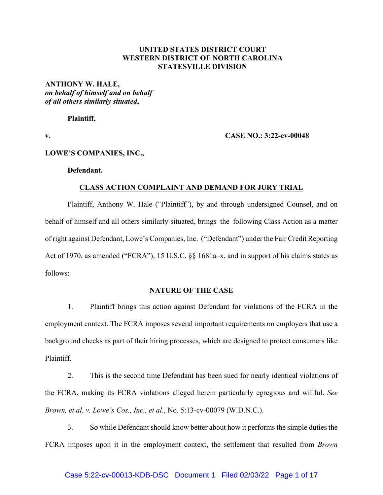# **UNITED STATES DISTRICT COURT WESTERN DISTRICT OF NORTH CAROLINA STATESVILLE DIVISION**

# **ANTHONY W. HALE,**  *on behalf of himself and on behalf of all others similarly situated***,**

**Plaintiff,**

## **v. CASE NO.: 3:22-cv-00048**

## **LOWE'S COMPANIES, INC.,**

## **Defendant.**

## **CLASS ACTION COMPLAINT AND DEMAND FOR JURY TRIAL**

Plaintiff, Anthony W. Hale ("Plaintiff"), by and through undersigned Counsel, and on behalf of himself and all others similarly situated, brings the following Class Action as a matter of right against Defendant, Lowe's Companies, Inc. ("Defendant") under the Fair Credit Reporting Act of 1970, as amended ("FCRA"), 15 U.S.C. §§ 1681a–x, and in support of his claims states as follows:

## **NATURE OF THE CASE**

1. Plaintiff brings this action against Defendant for violations of the FCRA in the employment context. The FCRA imposes several important requirements on employers that use a background checks as part of their hiring processes, which are designed to protect consumers like Plaintiff.

2. This is the second time Defendant has been sued for nearly identical violations of the FCRA, making its FCRA violations alleged herein particularly egregious and willful. *See Brown, et al. v. Lowe's Cos., Inc., et al*., No. 5:13-cv-00079 (W.D.N.C.).

3. So while Defendant should know better about how it performs the simple duties the FCRA imposes upon it in the employment context, the settlement that resulted from *Brown*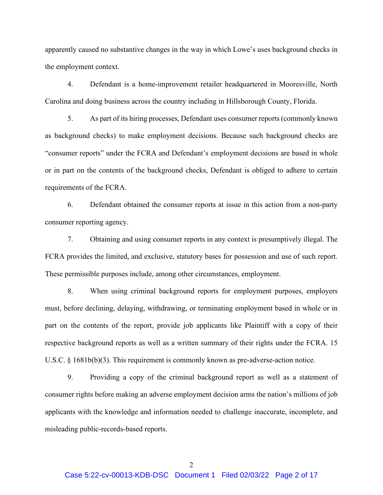apparently caused no substantive changes in the way in which Lowe's uses background checks in the employment context.

4. Defendant is a home-improvement retailer headquartered in Mooresville, North Carolina and doing business across the country including in Hillsborough County, Florida.

5. As part of its hiring processes, Defendant uses consumer reports (commonly known as background checks) to make employment decisions. Because such background checks are "consumer reports" under the FCRA and Defendant's employment decisions are based in whole or in part on the contents of the background checks, Defendant is obliged to adhere to certain requirements of the FCRA.

6. Defendant obtained the consumer reports at issue in this action from a non-party consumer reporting agency.

7. Obtaining and using consumer reports in any context is presumptively illegal. The FCRA provides the limited, and exclusive, statutory bases for possession and use of such report. These permissible purposes include, among other circumstances, employment.

8. When using criminal background reports for employment purposes, employers must, before declining, delaying, withdrawing, or terminating employment based in whole or in part on the contents of the report, provide job applicants like Plaintiff with a copy of their respective background reports as well as a written summary of their rights under the FCRA. 15 U.S.C. § 1681b(b)(3). This requirement is commonly known as pre-adverse-action notice.

9. Providing a copy of the criminal background report as well as a statement of consumer rights before making an adverse employment decision arms the nation's millions of job applicants with the knowledge and information needed to challenge inaccurate, incomplete, and misleading public-records-based reports.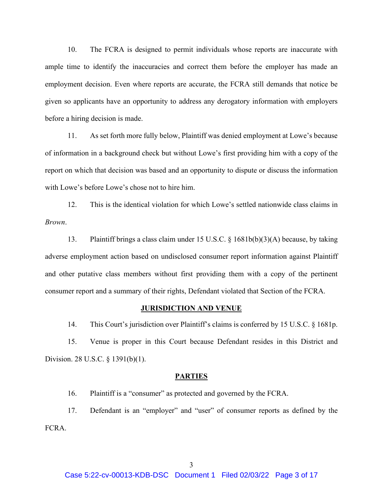10. The FCRA is designed to permit individuals whose reports are inaccurate with ample time to identify the inaccuracies and correct them before the employer has made an employment decision. Even where reports are accurate, the FCRA still demands that notice be given so applicants have an opportunity to address any derogatory information with employers before a hiring decision is made.

11. As set forth more fully below, Plaintiff was denied employment at Lowe's because of information in a background check but without Lowe's first providing him with a copy of the report on which that decision was based and an opportunity to dispute or discuss the information with Lowe's before Lowe's chose not to hire him.

12. This is the identical violation for which Lowe's settled nationwide class claims in *Brown*.

13. Plaintiff brings a class claim under 15 U.S.C. § 1681b(b)(3)(A) because, by taking adverse employment action based on undisclosed consumer report information against Plaintiff and other putative class members without first providing them with a copy of the pertinent consumer report and a summary of their rights, Defendant violated that Section of the FCRA.

## **JURISDICTION AND VENUE**

14. This Court's jurisdiction over Plaintiff's claims is conferred by 15 U.S.C. § 1681p.

15. Venue is proper in this Court because Defendant resides in this District and Division. 28 U.S.C. § 1391(b)(1).

#### **PARTIES**

16. Plaintiff is a "consumer" as protected and governed by the FCRA.

17. Defendant is an "employer" and "user" of consumer reports as defined by the FCRA.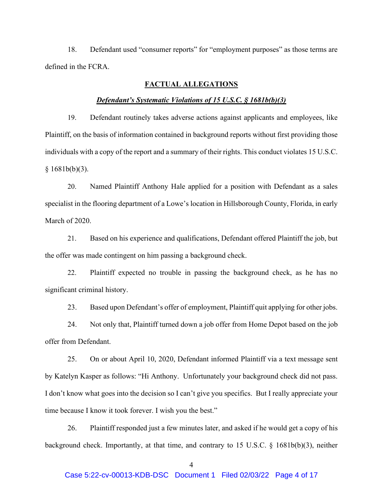18. Defendant used "consumer reports" for "employment purposes" as those terms are defined in the FCRA.

# **FACTUAL ALLEGATIONS**

#### *Defendant's Systematic Violations of 15 U.S.C. § 1681b(b)(3)*

19. Defendant routinely takes adverse actions against applicants and employees, like Plaintiff, on the basis of information contained in background reports without first providing those individuals with a copy of the report and a summary of their rights. This conduct violates 15 U.S.C.  $§ 1681b(b)(3).$ 

20. Named Plaintiff Anthony Hale applied for a position with Defendant as a sales specialist in the flooring department of a Lowe's location in Hillsborough County, Florida, in early March of 2020.

21. Based on his experience and qualifications, Defendant offered Plaintiff the job, but the offer was made contingent on him passing a background check.

22. Plaintiff expected no trouble in passing the background check, as he has no significant criminal history.

23. Based upon Defendant's offer of employment, Plaintiff quit applying for other jobs.

24. Not only that, Plaintiff turned down a job offer from Home Depot based on the job offer from Defendant.

25. On or about April 10, 2020, Defendant informed Plaintiff via a text message sent by Katelyn Kasper as follows: "Hi Anthony. Unfortunately your background check did not pass. I don't know what goes into the decision so I can't give you specifics. But I really appreciate your time because I know it took forever. I wish you the best."

26. Plaintiff responded just a few minutes later, and asked if he would get a copy of his background check. Importantly, at that time, and contrary to 15 U.S.C. § 1681b(b)(3), neither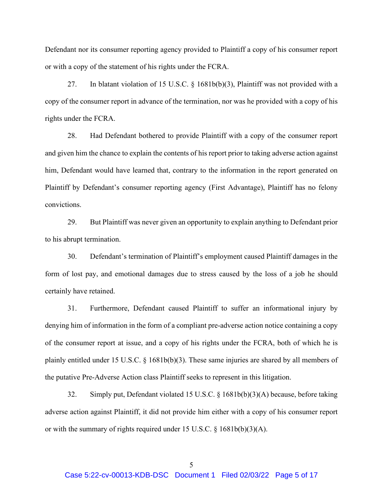Defendant nor its consumer reporting agency provided to Plaintiff a copy of his consumer report or with a copy of the statement of his rights under the FCRA.

27. In blatant violation of 15 U.S.C. § 1681b(b)(3), Plaintiff was not provided with a copy of the consumer report in advance of the termination, nor was he provided with a copy of his rights under the FCRA.

28. Had Defendant bothered to provide Plaintiff with a copy of the consumer report and given him the chance to explain the contents of his report prior to taking adverse action against him, Defendant would have learned that, contrary to the information in the report generated on Plaintiff by Defendant's consumer reporting agency (First Advantage), Plaintiff has no felony convictions.

29. But Plaintiff was never given an opportunity to explain anything to Defendant prior to his abrupt termination.

30. Defendant's termination of Plaintiff's employment caused Plaintiff damages in the form of lost pay, and emotional damages due to stress caused by the loss of a job he should certainly have retained.

31. Furthermore, Defendant caused Plaintiff to suffer an informational injury by denying him of information in the form of a compliant pre-adverse action notice containing a copy of the consumer report at issue, and a copy of his rights under the FCRA, both of which he is plainly entitled under 15 U.S.C. § 1681b(b)(3). These same injuries are shared by all members of the putative Pre-Adverse Action class Plaintiff seeks to represent in this litigation.

32. Simply put, Defendant violated 15 U.S.C. § 1681b(b)(3)(A) because, before taking adverse action against Plaintiff, it did not provide him either with a copy of his consumer report or with the summary of rights required under 15 U.S.C. § 1681b(b)(3)(A).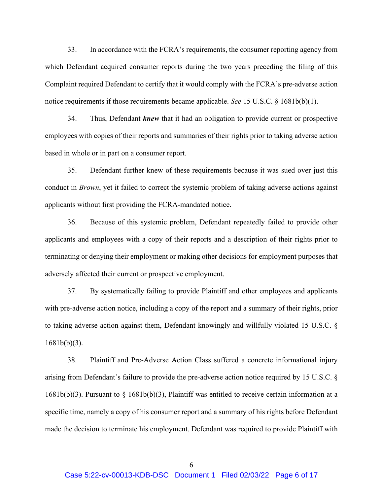33. In accordance with the FCRA's requirements, the consumer reporting agency from which Defendant acquired consumer reports during the two years preceding the filing of this Complaint required Defendant to certify that it would comply with the FCRA's pre-adverse action notice requirements if those requirements became applicable. *See* 15 U.S.C. § 1681b(b)(1).

34. Thus, Defendant *knew* that it had an obligation to provide current or prospective employees with copies of their reports and summaries of their rights prior to taking adverse action based in whole or in part on a consumer report.

35. Defendant further knew of these requirements because it was sued over just this conduct in *Brown*, yet it failed to correct the systemic problem of taking adverse actions against applicants without first providing the FCRA-mandated notice.

36. Because of this systemic problem, Defendant repeatedly failed to provide other applicants and employees with a copy of their reports and a description of their rights prior to terminating or denying their employment or making other decisions for employment purposes that adversely affected their current or prospective employment.

37. By systematically failing to provide Plaintiff and other employees and applicants with pre-adverse action notice, including a copy of the report and a summary of their rights, prior to taking adverse action against them, Defendant knowingly and willfully violated 15 U.S.C. § 1681b(b)(3).

38. Plaintiff and Pre-Adverse Action Class suffered a concrete informational injury arising from Defendant's failure to provide the pre-adverse action notice required by 15 U.S.C. §  $1681b(b)(3)$ . Pursuant to § 1681b(b)(3), Plaintiff was entitled to receive certain information at a specific time, namely a copy of his consumer report and a summary of his rights before Defendant made the decision to terminate his employment. Defendant was required to provide Plaintiff with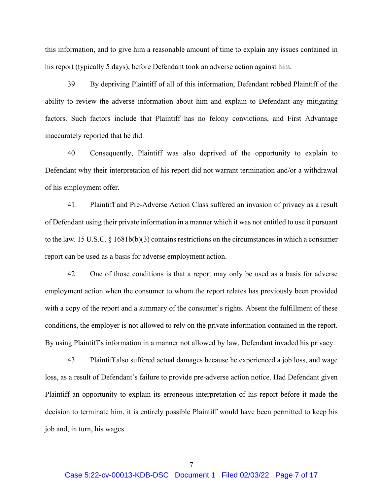this information, and to give him a reasonable amount of time to explain any issues contained in his report (typically 5 days), before Defendant took an adverse action against him.

39. By depriving Plaintiff of all of this information, Defendant robbed Plaintiff of the ability to review the adverse information about him and explain to Defendant any mitigating factors. Such factors include that Plaintiff has no felony convictions, and First Advantage inaccurately reported that he did.

40. Consequently, Plaintiff was also deprived of the opportunity to explain to Defendant why their interpretation of his report did not warrant termination and/or a withdrawal of his employment offer.

41. Plaintiff and Pre-Adverse Action Class suffered an invasion of privacy as a result of Defendant using their private information in a manner which it was not entitled to use it pursuant to the law. 15 U.S.C. § 1681b(b)(3) contains restrictions on the circumstances in which a consumer report can be used as a basis for adverse employment action.

42. One of those conditions is that a report may only be used as a basis for adverse employment action when the consumer to whom the report relates has previously been provided with a copy of the report and a summary of the consumer's rights. Absent the fulfillment of these conditions, the employer is not allowed to rely on the private information contained in the report. By using Plaintiff's information in a manner not allowed by law, Defendant invaded his privacy.

43. Plaintiff also suffered actual damages because he experienced a job loss, and wage loss, as a result of Defendant's failure to provide pre-adverse action notice. Had Defendant given Plaintiff an opportunity to explain its erroneous interpretation of his report before it made the decision to terminate him, it is entirely possible Plaintiff would have been permitted to keep his job and, in turn, his wages.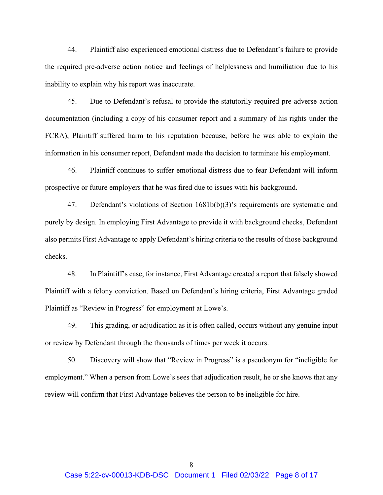44. Plaintiff also experienced emotional distress due to Defendant's failure to provide the required pre-adverse action notice and feelings of helplessness and humiliation due to his inability to explain why his report was inaccurate.

45. Due to Defendant's refusal to provide the statutorily-required pre-adverse action documentation (including a copy of his consumer report and a summary of his rights under the FCRA), Plaintiff suffered harm to his reputation because, before he was able to explain the information in his consumer report, Defendant made the decision to terminate his employment.

46. Plaintiff continues to suffer emotional distress due to fear Defendant will inform prospective or future employers that he was fired due to issues with his background.

47. Defendant's violations of Section 1681b(b)(3)'s requirements are systematic and purely by design. In employing First Advantage to provide it with background checks, Defendant also permits First Advantage to apply Defendant's hiring criteria to the results of those background checks.

48. In Plaintiff's case, for instance, First Advantage created a report that falsely showed Plaintiff with a felony conviction. Based on Defendant's hiring criteria, First Advantage graded Plaintiff as "Review in Progress" for employment at Lowe's.

49. This grading, or adjudication as it is often called, occurs without any genuine input or review by Defendant through the thousands of times per week it occurs.

50. Discovery will show that "Review in Progress" is a pseudonym for "ineligible for employment." When a person from Lowe's sees that adjudication result, he or she knows that any review will confirm that First Advantage believes the person to be ineligible for hire.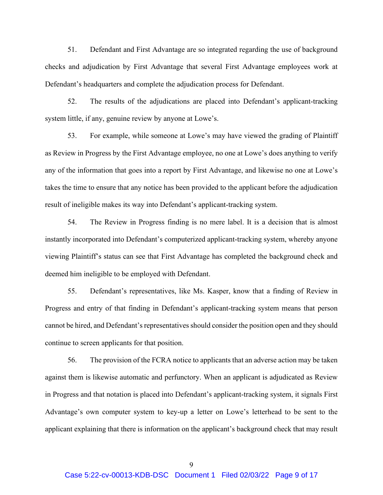51. Defendant and First Advantage are so integrated regarding the use of background checks and adjudication by First Advantage that several First Advantage employees work at Defendant's headquarters and complete the adjudication process for Defendant.

52. The results of the adjudications are placed into Defendant's applicant-tracking system little, if any, genuine review by anyone at Lowe's.

53. For example, while someone at Lowe's may have viewed the grading of Plaintiff as Review in Progress by the First Advantage employee, no one at Lowe's does anything to verify any of the information that goes into a report by First Advantage, and likewise no one at Lowe's takes the time to ensure that any notice has been provided to the applicant before the adjudication result of ineligible makes its way into Defendant's applicant-tracking system.

54. The Review in Progress finding is no mere label. It is a decision that is almost instantly incorporated into Defendant's computerized applicant-tracking system, whereby anyone viewing Plaintiff's status can see that First Advantage has completed the background check and deemed him ineligible to be employed with Defendant.

55. Defendant's representatives, like Ms. Kasper, know that a finding of Review in Progress and entry of that finding in Defendant's applicant-tracking system means that person cannot be hired, and Defendant's representatives should consider the position open and they should continue to screen applicants for that position.

56. The provision of the FCRA notice to applicants that an adverse action may be taken against them is likewise automatic and perfunctory. When an applicant is adjudicated as Review in Progress and that notation is placed into Defendant's applicant-tracking system, it signals First Advantage's own computer system to key-up a letter on Lowe's letterhead to be sent to the applicant explaining that there is information on the applicant's background check that may result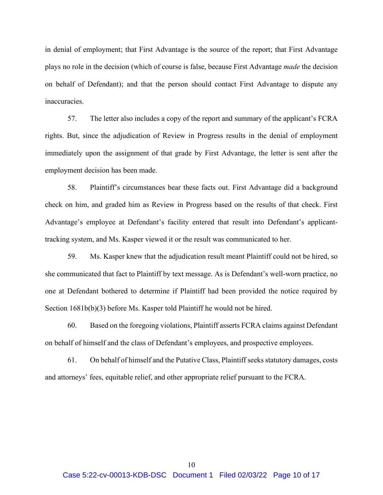in denial of employment; that First Advantage is the source of the report; that First Advantage plays no role in the decision (which of course is false, because First Advantage *made* the decision on behalf of Defendant); and that the person should contact First Advantage to dispute any inaccuracies.

57. The letter also includes a copy of the report and summary of the applicant's FCRA rights. But, since the adjudication of Review in Progress results in the denial of employment immediately upon the assignment of that grade by First Advantage, the letter is sent after the employment decision has been made.

58. Plaintiff's circumstances bear these facts out. First Advantage did a background check on him, and graded him as Review in Progress based on the results of that check. First Advantage's employee at Defendant's facility entered that result into Defendant's applicanttracking system, and Ms. Kasper viewed it or the result was communicated to her.

59. Ms. Kasper knew that the adjudication result meant Plaintiff could not be hired, so she communicated that fact to Plaintiff by text message. As is Defendant's well-worn practice, no one at Defendant bothered to determine if Plaintiff had been provided the notice required by Section  $1681b(b)(3)$  before Ms. Kasper told Plaintiff he would not be hired.

60. Based on the foregoing violations, Plaintiff asserts FCRA claims against Defendant on behalf of himself and the class of Defendant's employees, and prospective employees.

61. On behalf of himself and the Putative Class, Plaintiff seeks statutory damages, costs and attorneys' fees, equitable relief, and other appropriate relief pursuant to the FCRA.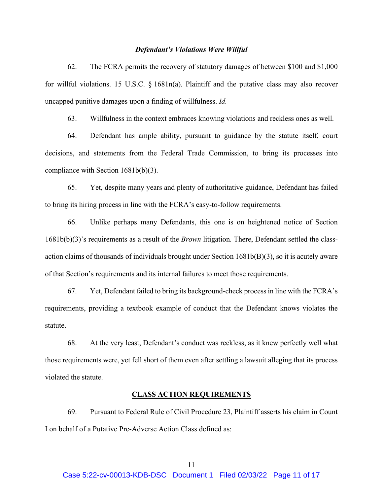#### *Defendant's Violations Were Willful*

62. The FCRA permits the recovery of statutory damages of between \$100 and \$1,000 for willful violations. 15 U.S.C.  $\S$  1681n(a). Plaintiff and the putative class may also recover uncapped punitive damages upon a finding of willfulness. *Id.*

63. Willfulness in the context embraces knowing violations and reckless ones as well.

64. Defendant has ample ability, pursuant to guidance by the statute itself, court decisions, and statements from the Federal Trade Commission, to bring its processes into compliance with Section 1681b(b)(3).

65. Yet, despite many years and plenty of authoritative guidance, Defendant has failed to bring its hiring process in line with the FCRA's easy-to-follow requirements.

66. Unlike perhaps many Defendants, this one is on heightened notice of Section 1681b(b)(3)'s requirements as a result of the *Brown* litigation. There, Defendant settled the classaction claims of thousands of individuals brought under Section 1681b(B)(3), so it is acutely aware of that Section's requirements and its internal failures to meet those requirements.

67. Yet, Defendant failed to bring its background-check process in line with the FCRA's requirements, providing a textbook example of conduct that the Defendant knows violates the statute.

68. At the very least, Defendant's conduct was reckless, as it knew perfectly well what those requirements were, yet fell short of them even after settling a lawsuit alleging that its process violated the statute.

#### **CLASS ACTION REQUIREMENTS**

69. Pursuant to Federal Rule of Civil Procedure 23, Plaintiff asserts his claim in Count I on behalf of a Putative Pre-Adverse Action Class defined as: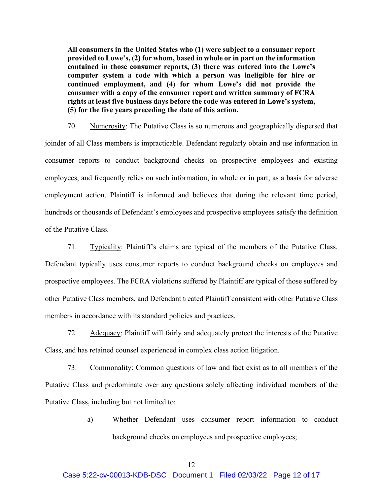**All consumers in the United States who (1) were subject to a consumer report provided to Lowe's, (2) for whom, based in whole or in part on the information contained in those consumer reports, (3) there was entered into the Lowe's computer system a code with which a person was ineligible for hire or continued employment, and (4) for whom Lowe's did not provide the consumer with a copy of the consumer report and written summary of FCRA rights at least five business days before the code was entered in Lowe's system, (5) for the five years preceding the date of this action.**

70. Numerosity: The Putative Class is so numerous and geographically dispersed that joinder of all Class members is impracticable. Defendant regularly obtain and use information in consumer reports to conduct background checks on prospective employees and existing employees, and frequently relies on such information, in whole or in part, as a basis for adverse employment action. Plaintiff is informed and believes that during the relevant time period, hundreds or thousands of Defendant's employees and prospective employees satisfy the definition of the Putative Class.

71. Typicality: Plaintiff's claims are typical of the members of the Putative Class. Defendant typically uses consumer reports to conduct background checks on employees and prospective employees. The FCRA violations suffered by Plaintiff are typical of those suffered by other Putative Class members, and Defendant treated Plaintiff consistent with other Putative Class members in accordance with its standard policies and practices.

72. Adequacy: Plaintiff will fairly and adequately protect the interests of the Putative Class, and has retained counsel experienced in complex class action litigation.

73. Commonality: Common questions of law and fact exist as to all members of the Putative Class and predominate over any questions solely affecting individual members of the Putative Class, including but not limited to:

> a) Whether Defendant uses consumer report information to conduct background checks on employees and prospective employees;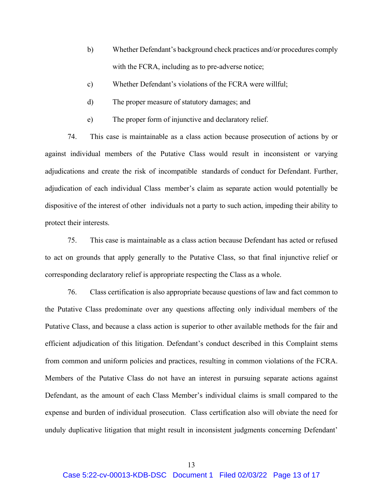- b) Whether Defendant's background check practices and/or procedures comply with the FCRA, including as to pre-adverse notice;
- c) Whether Defendant's violations of the FCRA were willful;
- d) The proper measure of statutory damages; and
- e) The proper form of injunctive and declaratory relief.

74. This case is maintainable as a class action because prosecution of actions by or against individual members of the Putative Class would result in inconsistent or varying adjudications and create the risk of incompatible standards of conduct for Defendant. Further, adjudication of each individual Class member's claim as separate action would potentially be dispositive of the interest of other individuals not a party to such action, impeding their ability to protect their interests.

75. This case is maintainable as a class action because Defendant has acted or refused to act on grounds that apply generally to the Putative Class, so that final injunctive relief or corresponding declaratory relief is appropriate respecting the Class as a whole.

76. Class certification is also appropriate because questions of law and fact common to the Putative Class predominate over any questions affecting only individual members of the Putative Class, and because a class action is superior to other available methods for the fair and efficient adjudication of this litigation. Defendant's conduct described in this Complaint stems from common and uniform policies and practices, resulting in common violations of the FCRA. Members of the Putative Class do not have an interest in pursuing separate actions against Defendant, as the amount of each Class Member's individual claims is small compared to the expense and burden of individual prosecution. Class certification also will obviate the need for unduly duplicative litigation that might result in inconsistent judgments concerning Defendant'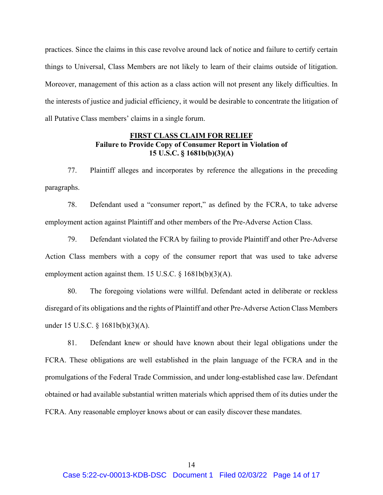practices. Since the claims in this case revolve around lack of notice and failure to certify certain things to Universal, Class Members are not likely to learn of their claims outside of litigation. Moreover, management of this action as a class action will not present any likely difficulties. In the interests of justice and judicial efficiency, it would be desirable to concentrate the litigation of all Putative Class members' claims in a single forum.

# **FIRST CLASS CLAIM FOR RELIEF Failure to Provide Copy of Consumer Report in Violation of 15 U.S.C. § 1681b(b)(3)(A)**

77. Plaintiff alleges and incorporates by reference the allegations in the preceding paragraphs.

78. Defendant used a "consumer report," as defined by the FCRA, to take adverse employment action against Plaintiff and other members of the Pre-Adverse Action Class.

79. Defendant violated the FCRA by failing to provide Plaintiff and other Pre-Adverse Action Class members with a copy of the consumer report that was used to take adverse employment action against them. 15 U.S.C. § 1681b(b)(3)(A).

80. The foregoing violations were willful. Defendant acted in deliberate or reckless disregard of its obligations and the rights of Plaintiff and other Pre-Adverse Action Class Members under 15 U.S.C. § 1681b(b)(3)(A).

81. Defendant knew or should have known about their legal obligations under the FCRA. These obligations are well established in the plain language of the FCRA and in the promulgations of the Federal Trade Commission, and under long-established case law. Defendant obtained or had available substantial written materials which apprised them of its duties under the FCRA. Any reasonable employer knows about or can easily discover these mandates.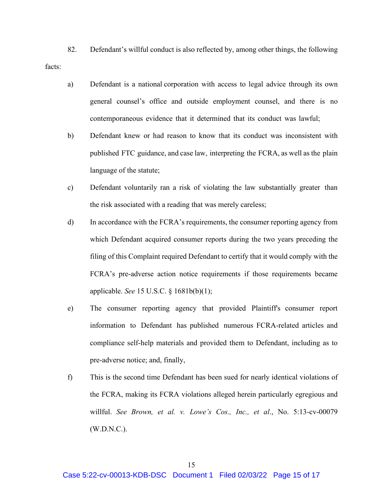82. Defendant's willful conduct is also reflected by, among other things, the following facts:

- a) Defendant is a national corporation with access to legal advice through its own general counsel's office and outside employment counsel, and there is no contemporaneous evidence that it determined that its conduct was lawful;
- b) Defendant knew or had reason to know that its conduct was inconsistent with published FTC guidance, and case law, interpreting the FCRA, as well as the plain language of the statute;
- c) Defendant voluntarily ran a risk of violating the law substantially greater than the risk associated with a reading that was merely careless;
- d) In accordance with the FCRA's requirements, the consumer reporting agency from which Defendant acquired consumer reports during the two years preceding the filing of this Complaint required Defendant to certify that it would comply with the FCRA's pre-adverse action notice requirements if those requirements became applicable. *See* 15 U.S.C. § 1681b(b)(1);
- e) The consumer reporting agency that provided Plaintiff's consumer report information to Defendant has published numerous FCRA-related articles and compliance self-help materials and provided them to Defendant, including as to pre-adverse notice; and, finally,
- f) This is the second time Defendant has been sued for nearly identical violations of the FCRA, making its FCRA violations alleged herein particularly egregious and willful. *See Brown, et al. v. Lowe's Cos., Inc., et al*., No. 5:13-cv-00079 (W.D.N.C.).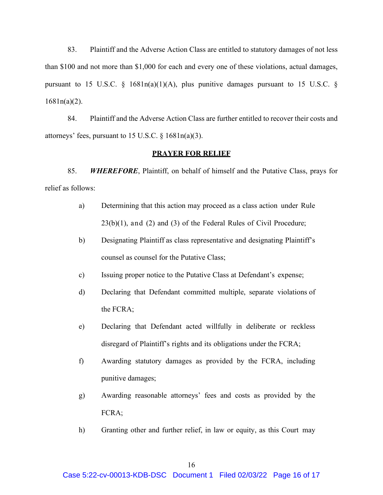83. Plaintiff and the Adverse Action Class are entitled to statutory damages of not less than \$100 and not more than \$1,000 for each and every one of these violations, actual damages, pursuant to 15 U.S.C.  $\S$  1681n(a)(1)(A), plus punitive damages pursuant to 15 U.S.C.  $\S$ 1681n(a)(2).

84. Plaintiff and the Adverse Action Class are further entitled to recover their costs and attorneys' fees, pursuant to 15 U.S.C. § 1681n(a)(3).

## **PRAYER FOR RELIEF**

85. *WHEREFORE*, Plaintiff, on behalf of himself and the Putative Class, prays for relief as follows:

- a) Determining that this action may proceed as a class action under Rule 23(b)(1), and (2) and (3) of the Federal Rules of Civil Procedure;
- b) Designating Plaintiff as class representative and designating Plaintiff's counsel as counsel for the Putative Class;
- c) Issuing proper notice to the Putative Class at Defendant's expense;
- d) Declaring that Defendant committed multiple, separate violations of the FCRA;
- e) Declaring that Defendant acted willfully in deliberate or reckless disregard of Plaintiff's rights and its obligations under the FCRA;
- f) Awarding statutory damages as provided by the FCRA, including punitive damages;
- g) Awarding reasonable attorneys' fees and costs as provided by the FCRA;
- h) Granting other and further relief, in law or equity, as this Court may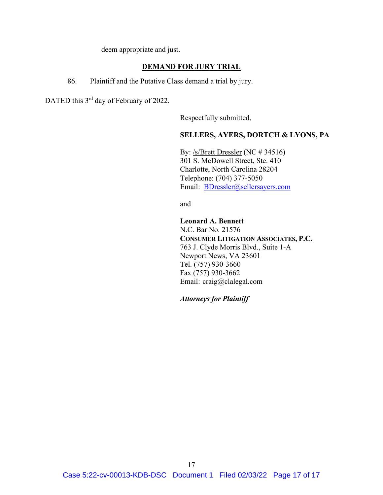deem appropriate and just.

## **DEMAND FOR JURY TRIAL**

86. Plaintiff and the Putative Class demand a trial by jury.

DATED this 3<sup>rd</sup> day of February of 2022.

Respectfully submitted,

## **SELLERS, AYERS, DORTCH & LYONS, PA**

By: /s/Brett Dressler (NC # 34516) 301 S. McDowell Street, Ste. 410 Charlotte, North Carolina 28204 Telephone: (704) 377-5050 Email: BDressler@sellersayers.com

and

**Leonard A. Bennett** N.C. Bar No. 21576 **CONSUMER LITIGATION ASSOCIATES, P.C.** 763 J. Clyde Morris Blvd., Suite 1-A Newport News, VA 23601 Tel. (757) 930-3660 Fax (757) 930-3662 Email: craig@clalegal.com

*Attorneys for Plaintiff*